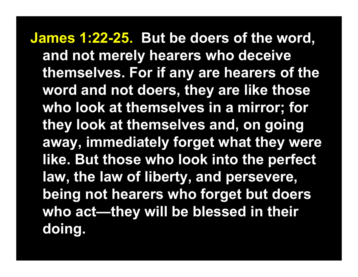**James 1:22-25. But be doers of the word, and not merely hearers who deceive themselves. For if any are hearers of the word and not doers, they are like those who look at themselves in a mirror; for they look at themselves and, on going away, immediately forget what they were like. But those who look into the perfect law, the law of liberty, and persevere, being not hearers who forget but doers who act—they will be blessed in their doing.**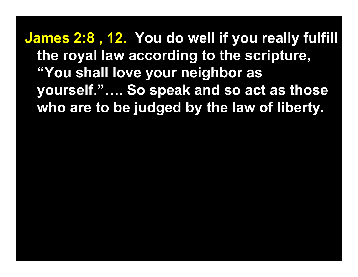**James 2:8 , 12. You do well if you really fulfill the royal law according to the scripture, "You shall love your neighbor as yourself."…. So speak and so act as those who are to be judged by the law of liberty.**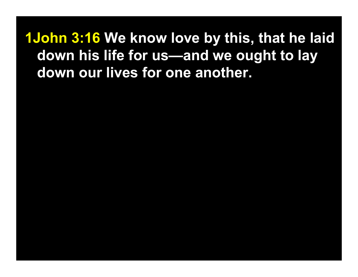**1John 3:16 We know love by this, that he laid down his life for us—and we ought to lay down our lives for one another.**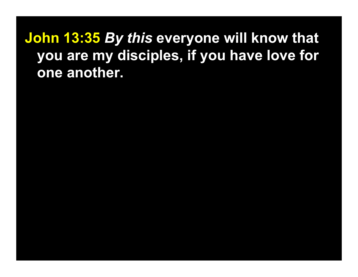**John 13:35** *By this* **everyone will know that you are my disciples, if you have love for one another.**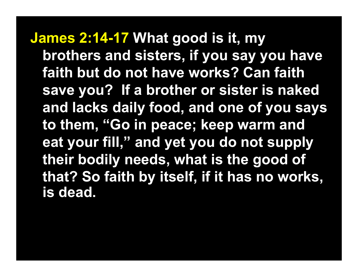**James 2:14-17 What good is it, my brothers and sisters, if you say you have faith but do not have works? Can faith save you? If a brother or sister is naked and lacks daily food, and one of you says to them, "Go in peace; keep warm and eat your fill," and yet you do not supply their bodily needs, what is the good of that? So faith by itself, if it has no works, is dead.**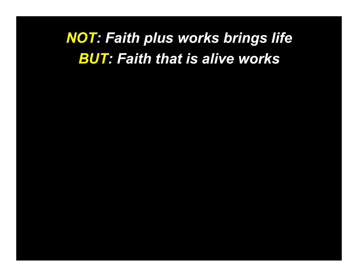## *NOT: Faith plus works brings life BUT: Faith that is alive works*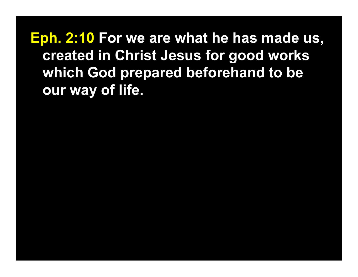**Eph. 2:10 For we are what he has made us, created in Christ Jesus for good works which God prepared beforehand to be our way of life.**